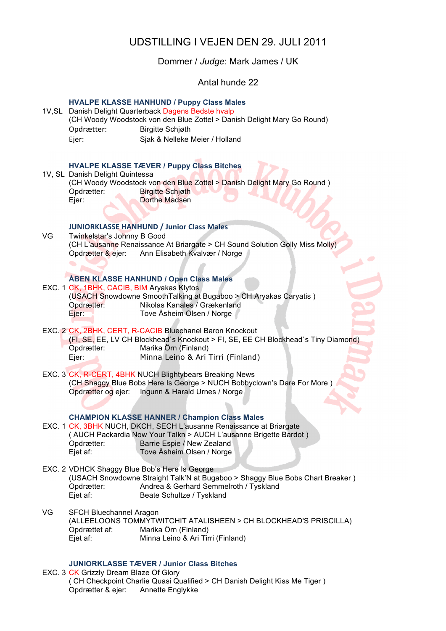# UDSTILLING I VEJEN DEN 29. JULI 2011

Dommer / *Judge*: Mark James / UK

Antal hunde 22

| 1V, SL | Opdrætter:<br>Ejer:                                                                                                                                                                          | <b>HVALPE KLASSE HANHUND / Puppy Class Males</b><br>Danish Delight Quarterback Dagens Bedste hvalp<br>(CH Woody Woodstock von den Blue Zottel > Danish Delight Mary Go Round)<br><b>Birgitte Schjøth</b><br>Sjak & Nelleke Meier / Holland                 |  |
|--------|----------------------------------------------------------------------------------------------------------------------------------------------------------------------------------------------|------------------------------------------------------------------------------------------------------------------------------------------------------------------------------------------------------------------------------------------------------------|--|
|        | 1V, SL Danish Delight Quintessa<br>Opdrætter:<br>Ejer:                                                                                                                                       | <b>HVALPE KLASSE TÆVER / Puppy Class Bitches</b><br>(CH Woody Woodstock von den Blue Zottel > Danish Delight Mary Go Round)<br><b>Birgitte Schigth</b><br><b>Dorthe Madsen</b>                                                                             |  |
| VG     | Twinkelstar's Johnny B Good<br>Opdrætter & ejer:                                                                                                                                             | <b>JUNIORKLASSE HANHUND / Junior Class Males</b><br>(CH L'ausanne Renaissance At Briargate > CH Sound Solution Golly Miss Molly)<br>Ann Elisabeth Kvalvær / Norge                                                                                          |  |
|        | EXC. 1 CK, 1BHK, CACIB, BIM Aryakas Klytos<br>Opdrætter:<br>Ejer:                                                                                                                            | <b>ÅBEN KLASSE HANHUND / Open Class Males</b><br>(USACH Snowdowne Smooth Talking at Bugaboo > CH Aryakas Caryatis)<br>Nikolas Kanales / Grækenland<br>Tove Åsheim Olsen / Norge                                                                            |  |
|        | Opdrætter:<br>Ejer:                                                                                                                                                                          | EXC. 2 CK, 2BHK, CERT, R-CACIB Bluechanel Baron Knockout<br>(FI, SE, EE, LV CH Blockhead's Knockout > FI, SE, EE CH Blockhead's Tiny Diamond)<br>Marika Örn (Finland)<br>Minna Leino & Ari Tirri (Finland)                                                 |  |
|        |                                                                                                                                                                                              | EXC. 3 CK, R-CERT, 4BHK NUCH Blightybears Breaking News<br>(CH Shaggy Blue Bobs Here Is George > NUCH Bobbyclown's Dare For More)<br>Opdrætter og ejer: Ingunn & Harald Urnes / Norge                                                                      |  |
|        | Opdrætter:<br>Ejet af:                                                                                                                                                                       | <b>CHAMPION KLASSE HANNER / Champion Class Males</b><br>EXC. 1 CK, 3BHK NUCH, DKCH, SECH L'ausanne Renaissance at Briargate<br>(AUCH Packardia Now Your Talkn > AUCH L'ausanne Brigette Bardot)<br>Barrie Espie / New Zealand<br>Tove Åsheim Olsen / Norge |  |
|        | Opdrætter:<br>Ejet af:                                                                                                                                                                       | EXC. 2 VDHCK Shaggy Blue Bob's Here Is George<br>(USACH Snowdowne Straight Talk'N at Bugaboo > Shaggy Blue Bobs Chart Breaker)<br>Andrea & Gerhard Semmelroth / Tyskland<br>Beate Schultze / Tyskland                                                      |  |
| VG     | <b>SFCH Bluechannel Aragon</b><br>(ALLEELOONS TOMMYTWITCHIT ATALISHEEN > CH BLOCKHEAD'S PRISCILLA)<br>Marika Örn (Finland)<br>Opdrættet af:<br>Ejet af:<br>Minna Leino & Ari Tirri (Finland) |                                                                                                                                                                                                                                                            |  |
|        | <b>JUNIORKLASSE TÆVER / Junior Class Bitches</b>                                                                                                                                             |                                                                                                                                                                                                                                                            |  |

EXC. 3 CK Grizzly Dream Blaze Of Glory ( CH Checkpoint Charlie Quasi Qualified > CH Danish Delight Kiss Me Tiger ) Opdrætter & ejer: Annette Englykke